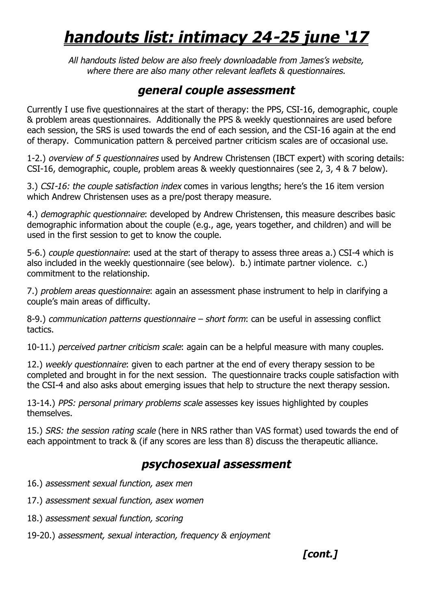# *handouts list: intimacy 24-25 june '17*

*All handouts listed below are also freely downloadable from James's website, where there are also many other relevant leaflets & questionnaires.*

### *general couple assessment*

Currently I use five questionnaires at the start of therapy: the PPS, CSI-16, demographic, couple & problem areas questionnaires. Additionally the PPS & weekly questionnaires are used before each session, the SRS is used towards the end of each session, and the CSI-16 again at the end of therapy. Communication pattern & perceived partner criticism scales are of occasional use.

1-2.) *overview of 5 questionnaires* used by Andrew Christensen (IBCT expert) with scoring details: CSI-16, demographic, couple, problem areas & weekly questionnaires (see 2, 3, 4 & 7 below).

3.) *CSI-16: the couple satisfaction index* comes in various lengths; here's the 16 item version which Andrew Christensen uses as a pre/post therapy measure.

4.) *demographic questionnaire*: developed by Andrew Christensen, this measure describes basic demographic information about the couple (e.g., age, years together, and children) and will be used in the first session to get to know the couple.

5-6.) *couple questionnaire*: used at the start of therapy to assess three areas a.) CSI-4 which is also included in the weekly questionnaire (see below). b.) intimate partner violence. c.) commitment to the relationship.

7.) *problem areas questionnaire*: again an assessment phase instrument to help in clarifying a couple's main areas of difficulty.

8-9.) *communication patterns questionnaire – short form*: can be useful in assessing conflict tactics.

10-11.) *perceived partner criticism scale*: again can be a helpful measure with many couples.

12.) *weekly questionnaire*: given to each partner at the end of every therapy session to be completed and brought in for the next session. The questionnaire tracks couple satisfaction with the CSI-4 and also asks about emerging issues that help to structure the next therapy session.

13-14.) *PPS: personal primary problems scale* assesses key issues highlighted by couples themselves.

15.) *SRS: the session rating scale* (here in NRS rather than VAS format) used towards the end of each appointment to track & (if any scores are less than 8) discuss the therapeutic alliance.

# *psychosexual assessment*

- 16.) *assessment sexual function, asex men*
- 17.) *assessment sexual function, asex women*
- 18.) *assessment sexual function, scoring*
- 19-20.) *assessment, sexual interaction, frequency & enjoyment*